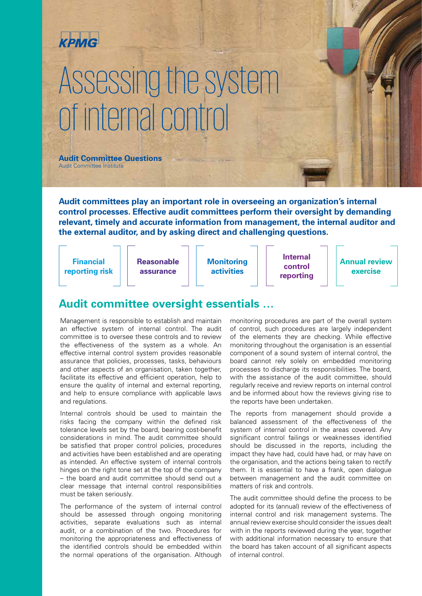

# Assessing the system of internal control

**Audit Committee Questions** Audit Committee Institute

**Audit committees play an important role in overseeing an organization's internal control processes. Effective audit committees perform their oversight by demanding relevant, timely and accurate information from management, the internal auditor and the external auditor, and by asking direct and challenging questions.**

| <b>Internal</b><br><b>Financial</b><br><b>Reasonable</b><br><b>Monitoring</b><br><b>Annual review</b><br>control<br><b>activities</b><br>reporting risk<br>exercise<br>assurance<br>reporting |
|-----------------------------------------------------------------------------------------------------------------------------------------------------------------------------------------------|
|-----------------------------------------------------------------------------------------------------------------------------------------------------------------------------------------------|

## **Audit committee oversight essentials …**

Management is responsible to establish and maintain an effective system of internal control. The audit committee is to oversee these controls and to review the effectiveness of the system as a whole. An effective internal control system provides reasonable assurance that policies, processes, tasks, behaviours and other aspects of an organisation, taken together, facilitate its effective and efficient operation, help to ensure the quality of internal and external reporting, and help to ensure compliance with applicable laws and regulations.

Internal controls should be used to maintain the risks facing the company within the defined risk tolerance levels set by the board, bearing cost-benefit considerations in mind. The audit committee should be satisfied that proper control policies, procedures and activities have been established and are operating as intended. An effective system of internal controls hinges on the right tone set at the top of the company – the board and audit committee should send out a clear message that internal control responsibilities must be taken seriously.

The performance of the system of internal control should be assessed through ongoing monitoring activities, separate evaluations such as internal audit, or a combination of the two. Procedures for monitoring the appropriateness and effectiveness of the identified controls should be embedded within the normal operations of the organisation. Although

monitoring procedures are part of the overall system of control, such procedures are largely independent of the elements they are checking. While effective monitoring throughout the organisation is an essential component of a sound system of internal control, the board cannot rely solely on embedded monitoring processes to discharge its responsibilities. The board, with the assistance of the audit committee, should regularly receive and review reports on internal control and be informed about how the reviews giving rise to the reports have been undertaken.

The reports from management should provide a balanced assessment of the effectiveness of the system of internal control in the areas covered. Any significant control failings or weaknesses identified should be discussed in the reports, including the impact they have had, could have had, or may have on the organisation, and the actions being taken to rectify them. It is essential to have a frank, open dialogue between management and the audit committee on matters of risk and controls.

The audit committee should define the process to be adopted for its (annual) review of the effectiveness of internal control and risk management systems. The annual review exercise should consider the issues dealt with in the reports reviewed during the year, together with additional information necessary to ensure that the board has taken account of all significant aspects of internal control.